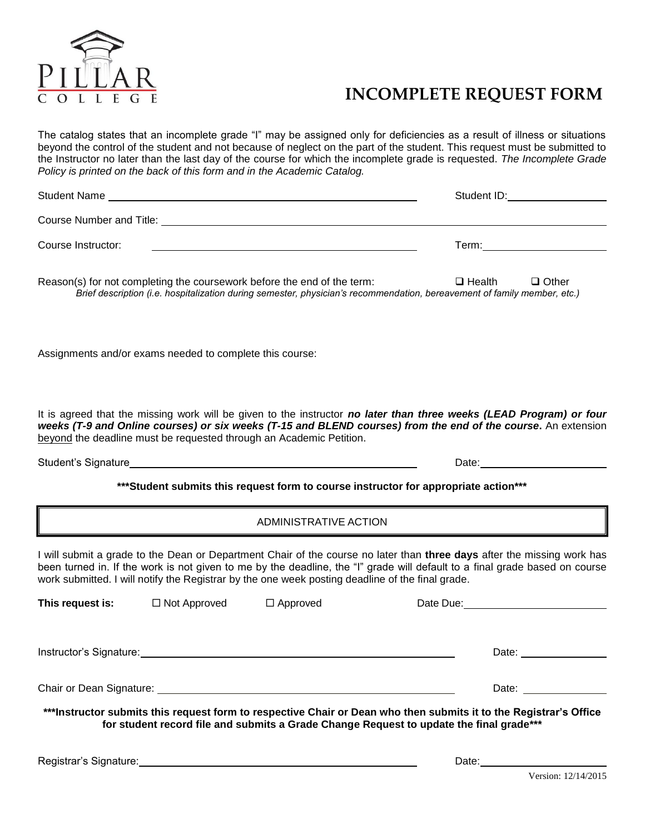

## **INCOMPLETE REQUEST FORM**

The catalog states that an incomplete grade "I" may be assigned only for deficiencies as a result of illness or situations beyond the control of the student and not because of neglect on the part of the student. This request must be submitted to the Instructor no later than the last day of the course for which the incomplete grade is requested. *The Incomplete Grade Policy is printed on the back of this form and in the Academic Catalog.*

| <b>Student Name</b>      | Student ID: |  |  |
|--------------------------|-------------|--|--|
| Course Number and Title: |             |  |  |
| Course Instructor:       | Term:       |  |  |

Reason(s) for not completing the coursework before the end of the term:  $\Box$  Health  $\Box$  Other *Brief description (i.e. hospitalization during semester, physician's recommendation, bereavement of family member, etc.)*

Assignments and/or exams needed to complete this course:

It is agreed that the missing work will be given to the instructor *no later than three weeks (LEAD Program) or four weeks (T-9 and Online courses) or six weeks (T-15 and BLEND courses) from the end of the course***.** An extension beyond the deadline must be requested through an Academic Petition.

Student's Signature Date: Date: Date: Date: Date: Date: Date: Date: Date: Date: Date: Date: Date: Date: Date: Date: Date: Date: Date: Date: Date: Date: Date: Date: Date: Date: Date: Date: Date: Date: Date: Date: Date: Date

## **\*\*\*Student submits this request form to course instructor for appropriate action\*\*\***

ADMINISTRATIVE ACTION

I will submit a grade to the Dean or Department Chair of the course no later than **three days** after the missing work has been turned in. If the work is not given to me by the deadline, the "I" grade will default to a final grade based on course work submitted. I will notify the Registrar by the one week posting deadline of the final grade.

| This request is:           | $\Box$ Not Approved | $\Box$ Approved | Date Due: <u>_______________</u> |
|----------------------------|---------------------|-----------------|----------------------------------|
| Instructor's Signature:    |                     |                 | Date:                            |
| Chair or Dean Signature: _ |                     |                 | Date:                            |

**\*\*\*Instructor submits this request form to respective Chair or Dean who then submits it to the Registrar's Office for student record file and submits a Grade Change Request to update the final grade\*\*\***

Registrar's Signature: Date: